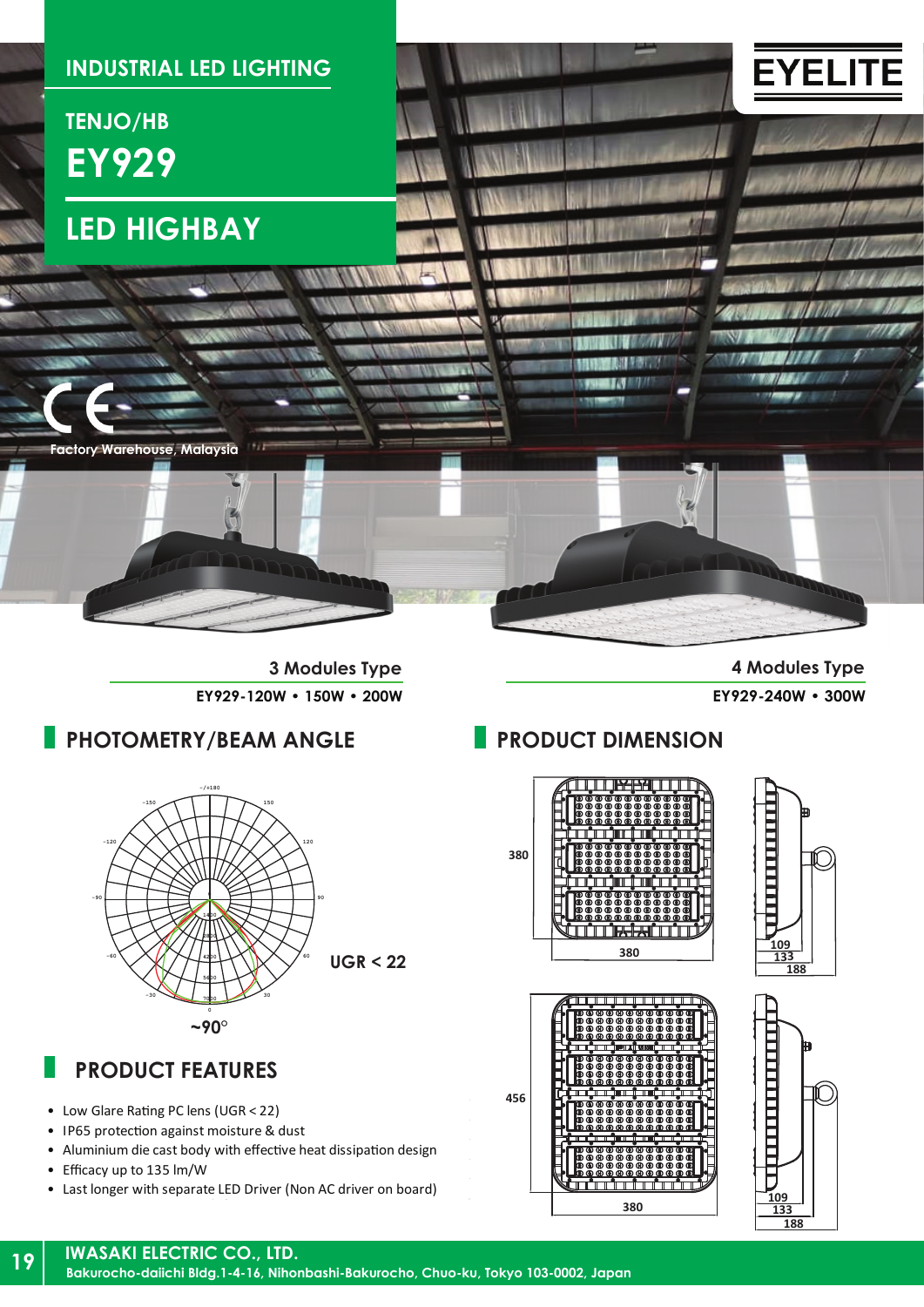

**EY929-120W • 150W • 200W EY929-240W • 300W**

**3 Modules Type 4 Modules Type**

### **PHOTOMETRY/BEAM ANGLE**



# **PRODUCT FEATURES**

- Low Glare Rating PC lens (UGR < 22)
- IP65 protection against moisture & dust
- Aluminium die cast body with effective heat dissipation design
- Efficacy up to 135 lm/W
- Last longer with separate LED Driver (Non AC driver on board)

### **PRODUCT DIMENSION**

THE R<del>ESSE</del>RIT LITE